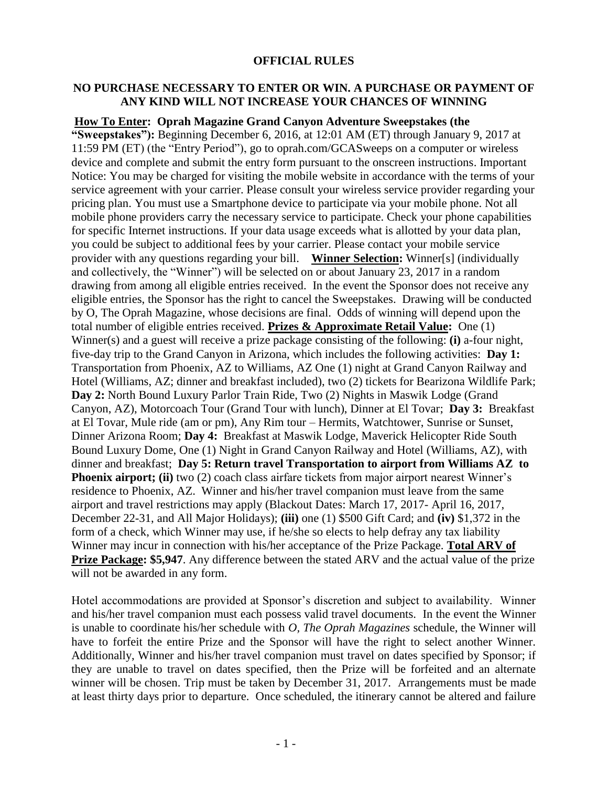## **OFFICIAL RULES**

## **NO PURCHASE NECESSARY TO ENTER OR WIN. A PURCHASE OR PAYMENT OF ANY KIND WILL NOT INCREASE YOUR CHANCES OF WINNING**

**How To Enter: Oprah Magazine Grand Canyon Adventure Sweepstakes (the "Sweepstakes"):** Beginning December 6, 2016, at 12:01 AM (ET) through January 9, 2017 at 11:59 PM (ET) (the "Entry Period"), go to oprah.com/GCASweeps on a computer or wireless device and complete and submit the entry form pursuant to the onscreen instructions. Important Notice: You may be charged for visiting the mobile website in accordance with the terms of your service agreement with your carrier. Please consult your wireless service provider regarding your pricing plan. You must use a Smartphone device to participate via your mobile phone. Not all mobile phone providers carry the necessary service to participate. Check your phone capabilities for specific Internet instructions. If your data usage exceeds what is allotted by your data plan, you could be subject to additional fees by your carrier. Please contact your mobile service provider with any questions regarding your bill. **Winner Selection:** Winner[s] (individually and collectively, the "Winner") will be selected on or about January 23, 2017 in a random drawing from among all eligible entries received. In the event the Sponsor does not receive any eligible entries, the Sponsor has the right to cancel the Sweepstakes. Drawing will be conducted by O, The Oprah Magazine, whose decisions are final. Odds of winning will depend upon the total number of eligible entries received. **Prizes & Approximate Retail Value:** One (1) Winner(s) and a guest will receive a prize package consisting of the following: **(i)** a-four night, five-day trip to the Grand Canyon in Arizona, which includes the following activities: **Day 1:**  Transportation from Phoenix, AZ to Williams, AZ One (1) night at Grand Canyon Railway and Hotel (Williams, AZ; dinner and breakfast included), two (2) tickets for Bearizona Wildlife Park; **Day 2:** North Bound Luxury Parlor Train Ride, Two (2) Nights in Maswik Lodge (Grand Canyon, AZ), Motorcoach Tour (Grand Tour with lunch), Dinner at El Tovar; **Day 3:** Breakfast at El Tovar, Mule ride (am or pm), Any Rim tour – Hermits, Watchtower, Sunrise or Sunset, Dinner Arizona Room; **Day 4:** Breakfast at Maswik Lodge, Maverick Helicopter Ride South Bound Luxury Dome, One (1) Night in Grand Canyon Railway and Hotel (Williams, AZ), with dinner and breakfast; **Day 5: Return travel Transportation to airport from Williams AZ to Phoenix airport; (ii)** two (2) coach class airfare tickets from major airport nearest Winner's residence to Phoenix, AZ. Winner and his/her travel companion must leave from the same airport and travel restrictions may apply (Blackout Dates: March 17, 2017- April 16, 2017, December 22-31, and All Major Holidays); **(iii)** one (1) \$500 Gift Card; and **(iv)** \$1,372 in the form of a check, which Winner may use, if he/she so elects to help defray any tax liability Winner may incur in connection with his/her acceptance of the Prize Package. **Total ARV of Prize Package: \$5,947**. Any difference between the stated ARV and the actual value of the prize will not be awarded in any form.

Hotel accommodations are provided at Sponsor's discretion and subject to availability. Winner and his/her travel companion must each possess valid travel documents. In the event the Winner is unable to coordinate his/her schedule with *O, The Oprah Magazines* schedule, the Winner will have to forfeit the entire Prize and the Sponsor will have the right to select another Winner. Additionally, Winner and his/her travel companion must travel on dates specified by Sponsor; if they are unable to travel on dates specified, then the Prize will be forfeited and an alternate winner will be chosen. Trip must be taken by December 31, 2017. Arrangements must be made at least thirty days prior to departure. Once scheduled, the itinerary cannot be altered and failure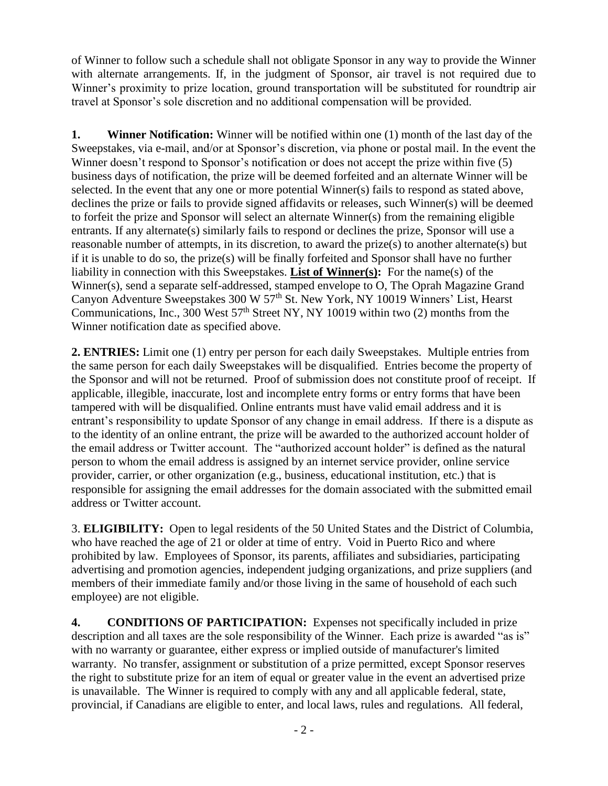of Winner to follow such a schedule shall not obligate Sponsor in any way to provide the Winner with alternate arrangements. If, in the judgment of Sponsor, air travel is not required due to Winner's proximity to prize location, ground transportation will be substituted for roundtrip air travel at Sponsor's sole discretion and no additional compensation will be provided.

**1. Winner Notification:** Winner will be notified within one (1) month of the last day of the Sweepstakes, via e-mail, and/or at Sponsor's discretion, via phone or postal mail. In the event the Winner doesn't respond to Sponsor's notification or does not accept the prize within five (5) business days of notification, the prize will be deemed forfeited and an alternate Winner will be selected. In the event that any one or more potential Winner(s) fails to respond as stated above, declines the prize or fails to provide signed affidavits or releases, such Winner(s) will be deemed to forfeit the prize and Sponsor will select an alternate Winner(s) from the remaining eligible entrants. If any alternate(s) similarly fails to respond or declines the prize, Sponsor will use a reasonable number of attempts, in its discretion, to award the prize(s) to another alternate(s) but if it is unable to do so, the prize(s) will be finally forfeited and Sponsor shall have no further liability in connection with this Sweepstakes. **List of Winner(s):** For the name(s) of the Winner(s), send a separate self-addressed, stamped envelope to O, The Oprah Magazine Grand Canyon Adventure Sweepstakes 300 W 57<sup>th</sup> St. New York, NY 10019 Winners' List, Hearst Communications, Inc., 300 West  $57<sup>th</sup>$  Street NY, NY 10019 within two (2) months from the Winner notification date as specified above.

**2. ENTRIES:** Limit one (1) entry per person for each daily Sweepstakes. Multiple entries from the same person for each daily Sweepstakes will be disqualified. Entries become the property of the Sponsor and will not be returned. Proof of submission does not constitute proof of receipt. If applicable, illegible, inaccurate, lost and incomplete entry forms or entry forms that have been tampered with will be disqualified. Online entrants must have valid email address and it is entrant's responsibility to update Sponsor of any change in email address. If there is a dispute as to the identity of an online entrant, the prize will be awarded to the authorized account holder of the email address or Twitter account. The "authorized account holder" is defined as the natural person to whom the email address is assigned by an internet service provider, online service provider, carrier, or other organization (e.g., business, educational institution, etc.) that is responsible for assigning the email addresses for the domain associated with the submitted email address or Twitter account.

3. **ELIGIBILITY:** Open to legal residents of the 50 United States and the District of Columbia, who have reached the age of 21 or older at time of entry. Void in Puerto Rico and where prohibited by law. Employees of Sponsor, its parents, affiliates and subsidiaries, participating advertising and promotion agencies, independent judging organizations, and prize suppliers (and members of their immediate family and/or those living in the same of household of each such employee) are not eligible.

**4. CONDITIONS OF PARTICIPATION:** Expenses not specifically included in prize description and all taxes are the sole responsibility of the Winner. Each prize is awarded "as is" with no warranty or guarantee, either express or implied outside of manufacturer's limited warranty. No transfer, assignment or substitution of a prize permitted, except Sponsor reserves the right to substitute prize for an item of equal or greater value in the event an advertised prize is unavailable. The Winner is required to comply with any and all applicable federal, state, provincial, if Canadians are eligible to enter, and local laws, rules and regulations. All federal,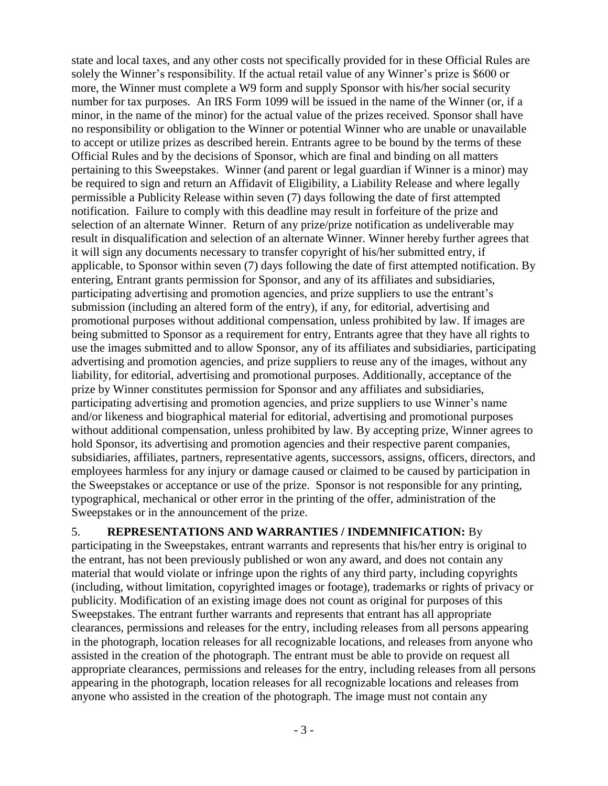state and local taxes, and any other costs not specifically provided for in these Official Rules are solely the Winner's responsibility. If the actual retail value of any Winner's prize is \$600 or more, the Winner must complete a W9 form and supply Sponsor with his/her social security number for tax purposes. An IRS Form 1099 will be issued in the name of the Winner (or, if a minor, in the name of the minor) for the actual value of the prizes received. Sponsor shall have no responsibility or obligation to the Winner or potential Winner who are unable or unavailable to accept or utilize prizes as described herein. Entrants agree to be bound by the terms of these Official Rules and by the decisions of Sponsor, which are final and binding on all matters pertaining to this Sweepstakes. Winner (and parent or legal guardian if Winner is a minor) may be required to sign and return an Affidavit of Eligibility, a Liability Release and where legally permissible a Publicity Release within seven (7) days following the date of first attempted notification. Failure to comply with this deadline may result in forfeiture of the prize and selection of an alternate Winner. Return of any prize/prize notification as undeliverable may result in disqualification and selection of an alternate Winner. Winner hereby further agrees that it will sign any documents necessary to transfer copyright of his/her submitted entry, if applicable, to Sponsor within seven (7) days following the date of first attempted notification. By entering, Entrant grants permission for Sponsor, and any of its affiliates and subsidiaries, participating advertising and promotion agencies, and prize suppliers to use the entrant's submission (including an altered form of the entry), if any, for editorial, advertising and promotional purposes without additional compensation, unless prohibited by law. If images are being submitted to Sponsor as a requirement for entry, Entrants agree that they have all rights to use the images submitted and to allow Sponsor, any of its affiliates and subsidiaries, participating advertising and promotion agencies, and prize suppliers to reuse any of the images, without any liability, for editorial, advertising and promotional purposes. Additionally, acceptance of the prize by Winner constitutes permission for Sponsor and any affiliates and subsidiaries, participating advertising and promotion agencies, and prize suppliers to use Winner's name and/or likeness and biographical material for editorial, advertising and promotional purposes without additional compensation, unless prohibited by law. By accepting prize, Winner agrees to hold Sponsor, its advertising and promotion agencies and their respective parent companies, subsidiaries, affiliates, partners, representative agents, successors, assigns, officers, directors, and employees harmless for any injury or damage caused or claimed to be caused by participation in the Sweepstakes or acceptance or use of the prize. Sponsor is not responsible for any printing, typographical, mechanical or other error in the printing of the offer, administration of the Sweepstakes or in the announcement of the prize.

5. **REPRESENTATIONS AND WARRANTIES / INDEMNIFICATION:** By

participating in the Sweepstakes, entrant warrants and represents that his/her entry is original to the entrant, has not been previously published or won any award, and does not contain any material that would violate or infringe upon the rights of any third party, including copyrights (including, without limitation, copyrighted images or footage), trademarks or rights of privacy or publicity. Modification of an existing image does not count as original for purposes of this Sweepstakes. The entrant further warrants and represents that entrant has all appropriate clearances, permissions and releases for the entry, including releases from all persons appearing in the photograph, location releases for all recognizable locations, and releases from anyone who assisted in the creation of the photograph. The entrant must be able to provide on request all appropriate clearances, permissions and releases for the entry, including releases from all persons appearing in the photograph, location releases for all recognizable locations and releases from anyone who assisted in the creation of the photograph. The image must not contain any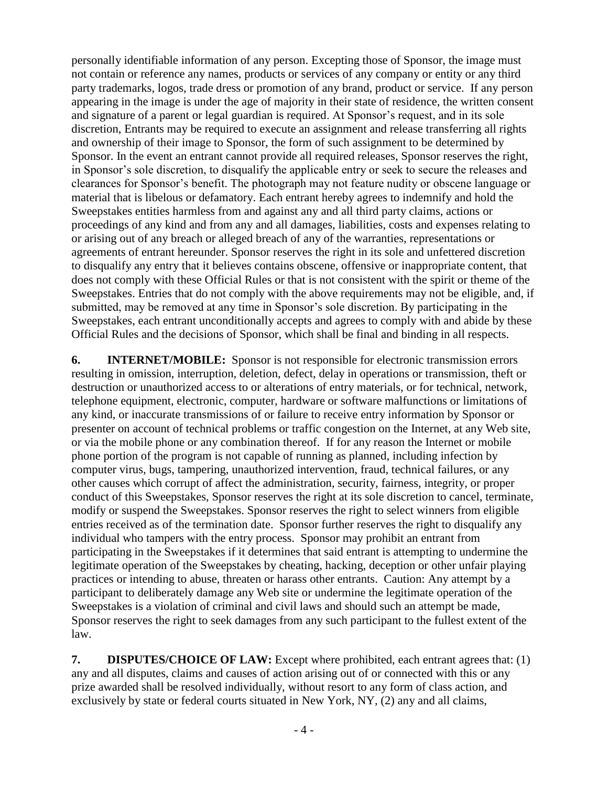personally identifiable information of any person. Excepting those of Sponsor, the image must not contain or reference any names, products or services of any company or entity or any third party trademarks, logos, trade dress or promotion of any brand, product or service. If any person appearing in the image is under the age of majority in their state of residence, the written consent and signature of a parent or legal guardian is required. At Sponsor's request, and in its sole discretion, Entrants may be required to execute an assignment and release transferring all rights and ownership of their image to Sponsor, the form of such assignment to be determined by Sponsor. In the event an entrant cannot provide all required releases, Sponsor reserves the right, in Sponsor's sole discretion, to disqualify the applicable entry or seek to secure the releases and clearances for Sponsor's benefit. The photograph may not feature nudity or obscene language or material that is libelous or defamatory. Each entrant hereby agrees to indemnify and hold the Sweepstakes entities harmless from and against any and all third party claims, actions or proceedings of any kind and from any and all damages, liabilities, costs and expenses relating to or arising out of any breach or alleged breach of any of the warranties, representations or agreements of entrant hereunder. Sponsor reserves the right in its sole and unfettered discretion to disqualify any entry that it believes contains obscene, offensive or inappropriate content, that does not comply with these Official Rules or that is not consistent with the spirit or theme of the Sweepstakes. Entries that do not comply with the above requirements may not be eligible, and, if submitted, may be removed at any time in Sponsor's sole discretion. By participating in the Sweepstakes, each entrant unconditionally accepts and agrees to comply with and abide by these Official Rules and the decisions of Sponsor, which shall be final and binding in all respects.

**6. INTERNET/MOBILE:** Sponsor is not responsible for electronic transmission errors resulting in omission, interruption, deletion, defect, delay in operations or transmission, theft or destruction or unauthorized access to or alterations of entry materials, or for technical, network, telephone equipment, electronic, computer, hardware or software malfunctions or limitations of any kind, or inaccurate transmissions of or failure to receive entry information by Sponsor or presenter on account of technical problems or traffic congestion on the Internet, at any Web site, or via the mobile phone or any combination thereof. If for any reason the Internet or mobile phone portion of the program is not capable of running as planned, including infection by computer virus, bugs, tampering, unauthorized intervention, fraud, technical failures, or any other causes which corrupt of affect the administration, security, fairness, integrity, or proper conduct of this Sweepstakes, Sponsor reserves the right at its sole discretion to cancel, terminate, modify or suspend the Sweepstakes. Sponsor reserves the right to select winners from eligible entries received as of the termination date. Sponsor further reserves the right to disqualify any individual who tampers with the entry process. Sponsor may prohibit an entrant from participating in the Sweepstakes if it determines that said entrant is attempting to undermine the legitimate operation of the Sweepstakes by cheating, hacking, deception or other unfair playing practices or intending to abuse, threaten or harass other entrants. Caution: Any attempt by a participant to deliberately damage any Web site or undermine the legitimate operation of the Sweepstakes is a violation of criminal and civil laws and should such an attempt be made, Sponsor reserves the right to seek damages from any such participant to the fullest extent of the law.

**7. DISPUTES/CHOICE OF LAW:** Except where prohibited, each entrant agrees that: (1) any and all disputes, claims and causes of action arising out of or connected with this or any prize awarded shall be resolved individually, without resort to any form of class action, and exclusively by state or federal courts situated in New York, NY, (2) any and all claims,